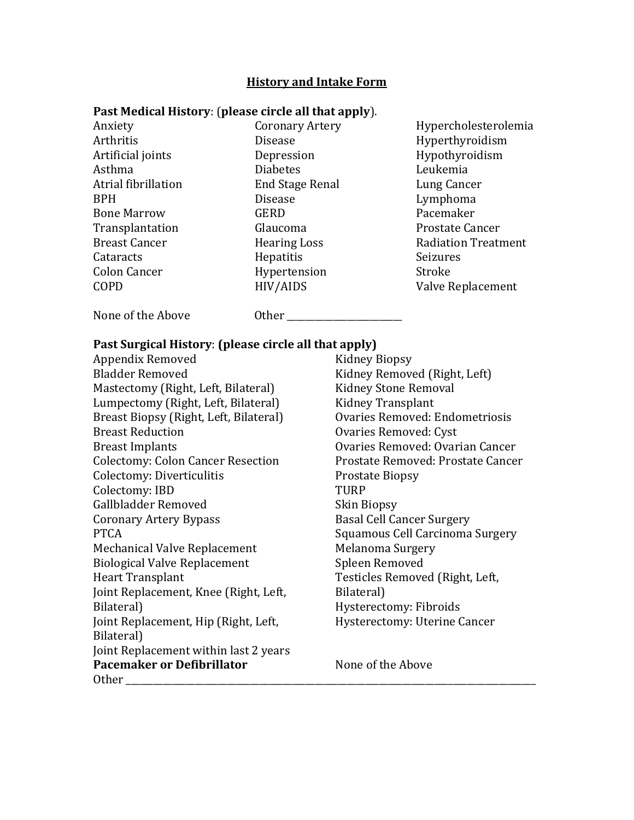## **History and Intake Form**

## **Past Medical History**: (**please circle all that apply**).

Anxiety Arthritis Artificial joints Asthma Atrial fibrillation BPH Bone Marrow Transplantation Breast Cancer **Cataracts** Colon Cancer COPD

Coronary Artery Disease Depression Diabetes End Stage Renal Disease **GERD** Glaucoma Hearing Loss Hepatitis Hypertension HIV/AIDS

Hypercholesterolemia Hyperthyroidism Hypothyroidism Leukemia Lung Cancer Lymphoma Pacemaker Prostate Cancer Radiation Treatment Seizures Stroke Valve Replacement

None of the Above **Other Other** 

## **Past Surgical History**: **(please circle all that apply)**

Appendix Removed Bladder Removed Mastectomy (Right, Left, Bilateral) Lumpectomy (Right, Left, Bilateral) Breast Biopsy (Right, Left, Bilateral) Breast Reduction Breast Implants Colectomy: Colon Cancer Resection Colectomy: Diverticulitis Colectomy: IBD Gallbladder Removed Coronary Artery Bypass PTCA Mechanical Valve Replacement Biological Valve Replacement Heart Transplant Joint Replacement, Knee (Right, Left, Bilateral) Joint Replacement, Hip (Right, Left, Bilateral) Joint Replacement within last 2 years **Pacemaker or Defibrillator** None of the Above Other **Latter** 

Kidney Biopsy Kidney Removed (Right, Left) Kidney Stone Removal Kidney Transplant Ovaries Removed: Endometriosis Ovaries Removed: Cyst Ovaries Removed: Ovarian Cancer Prostate Removed: Prostate Cancer Prostate Biopsy TURP Skin Biopsy Basal Cell Cancer Surgery Squamous Cell Carcinoma Surgery Melanoma Surgery Spleen Removed Testicles Removed (Right, Left, Bilateral) Hysterectomy: Fibroids Hysterectomy: Uterine Cancer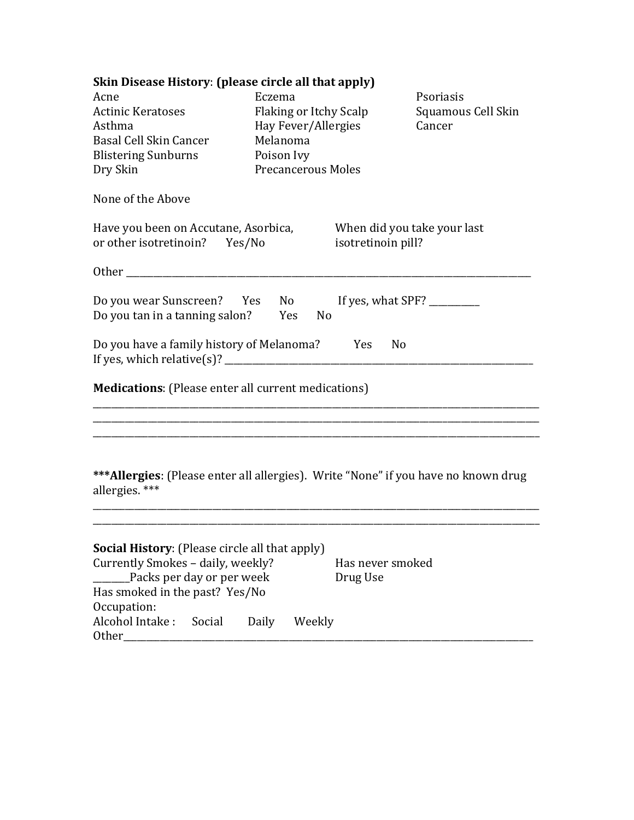| Skin Disease History: (please circle all that apply)                                                                    |                           |                               |                                                   |                    |  |
|-------------------------------------------------------------------------------------------------------------------------|---------------------------|-------------------------------|---------------------------------------------------|--------------------|--|
| Acne                                                                                                                    | Eczema                    |                               |                                                   | Psoriasis          |  |
| Actinic Keratoses                                                                                                       | Flaking or Itchy Scalp    |                               |                                                   | Squamous Cell Skin |  |
| Asthma                                                                                                                  |                           | Cancer<br>Hay Fever/Allergies |                                                   |                    |  |
| Basal Cell Skin Cancer                                                                                                  |                           | Melanoma                      |                                                   |                    |  |
| <b>Blistering Sunburns</b>                                                                                              | Poison Ivy                |                               |                                                   |                    |  |
| Dry Skin                                                                                                                | <b>Precancerous Moles</b> |                               |                                                   |                    |  |
| None of the Above                                                                                                       |                           |                               |                                                   |                    |  |
| Have you been on Accutane, Asorbica,<br>or other isotretinoin? Yes/No                                                   |                           |                               | When did you take your last<br>isotretinoin pill? |                    |  |
|                                                                                                                         |                           |                               |                                                   |                    |  |
| Do you wear Sunscreen? Yes No<br>Do you tan in a tanning salon?<br>Yes<br>No                                            |                           |                               |                                                   |                    |  |
| Do you have a family history of Melanoma? Yes<br>N <sub>0</sub>                                                         |                           |                               |                                                   |                    |  |
| <b>Medications:</b> (Please enter all current medications)                                                              |                           |                               |                                                   |                    |  |
|                                                                                                                         |                           |                               |                                                   |                    |  |
|                                                                                                                         |                           |                               |                                                   |                    |  |
| *** Allergies: (Please enter all allergies). Write "None" if you have no known drug<br>allergies. ***                   |                           |                               |                                                   |                    |  |
|                                                                                                                         |                           |                               |                                                   |                    |  |
| <b>Social History:</b> (Please circle all that apply)<br>Currently Smokes - daily, weekly?<br>Packs per day or per week |                           |                               | Has never smoked<br>Drug Use                      |                    |  |
| Has smoked in the past? Yes/No<br>Occupation:                                                                           |                           |                               |                                                   |                    |  |
| Alcohol Intake:<br>Social<br>Other_                                                                                     | Daily                     | Weekly                        |                                                   |                    |  |